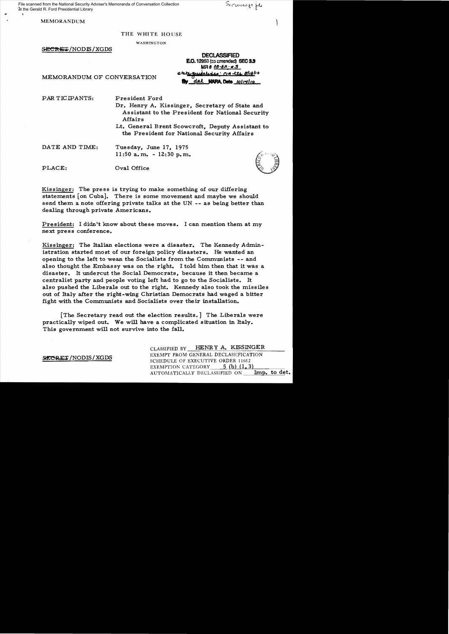File scanned from the National Security Adviser's Memoranda of Conversation Collection at the Gerald R. Ford Presidential Library

Securado file

Κ, . <sup>~</sup>

~.

MEMORANDUM

## THE WHITE HOUSE

WASHINGTON

SECRET/NODIS/XGDS

DEClASSIFIED E.O. 12953 (as amended) SEC 3.3 EO. 12953 (as amended) SEC 3.3<br>MR 8 08-82: #3<br>MEMORANDUM OF CONVERSATION "<sup>21</sup>22 quiclise: CIA 121. 8/18/10

PAR TICIPANTS: President Ford

- Dr. Henry A. Kissinger. Secretary of State and Assistant to the President for National Security Affairs
- Lt. General Brent Scowcroft, Deputy As sistant to the President for National Security Affairs

DATE AND TIME: Tuesday, June 17, 1975 11:50 a.m. - 12:30 p.m.<br> $\int_{0}^{\sqrt{3}}$ 

PLACE: Oval Office

Kissinger: The press is trying to make something of our differing statements [on Cuba]. There is some movement and maybe we should send them a note offering private talks at the UN -- as being better than dealing through private Americans.

President: I didn't know about these moves. I can mention them at my next press conference.

Kissinger: The Italian elections were a disaster. The Kennedy Administration started most of our foreign policy disasters. He wanted an opening to the left to wean the Socialists from the Communists -- and also thought the Embassy was on the right. I told him then that it was a disaster. It undercut the Social Democrats, because it then became a centralist party and people voting left had to go to the Socialists. It also pushed the Liberals out to the right. Kennedy also took the missiles out of Italy after the right-wing Christian Democrats had waged a bitter fight with the Communists and Socialists over their installation.

[The Secretary read out the election results.] The Liberals were practically wiped out. We will have a complicated situation in Italy. This government will not survive into the fall.

CLASSIFIED BY HENRY A. KISSINGER **EXEMPT FROM GENERAL DECLASSIFICATION**<br>SCHEDULE OF EXECUTIVE ORDER 11652 EXEMPTION CATEGORY  $5$  (b)  $(1, 3)$ AUTOMATICALLY DECLASSIFIED ON **Imp. to det.**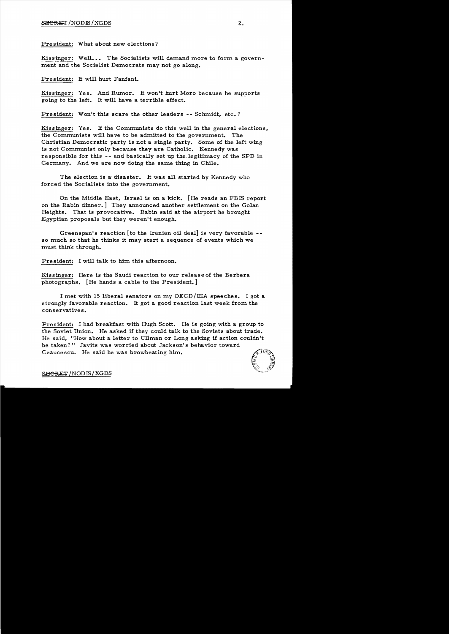President: What about new elections?

Kissinger: Well... The Socialists will demand more to form a government and the Socialist Democrats may not go along.

President: It will hurt Fanfani.

Kissinger: Yes. And Rumor. It won't hurt Moro because he supports going to the left. It will have a terrible effect.

President: Won't this scare the other leaders -- Schmidt, etc.?

Kissinger: Yes. H the Communists do this well in the general elections, the Communists will have to be admitted to the government. The Christian Democratic party is not a single party. Some of the left wing is not Communist only because they are Catholic. Kennedy was responsible for this -- and basically set up the. legitimacy of the SPD in Germany. And we are now doing the same thing in Chile.

The election is a disaster. It was all started by Kennedy who forced the Socialists into the government.

On the Middle East, Israel is on a kick. [He reads an FBIS report on the Rabin dinner.] They announced another settlement on the Golan Heights. That is provocative. Rabin said at the airport he brought Egyptian proposals but they weren't enough.

Greenspan's reaction [to the Iranian oil deal] is very favorable  $-$ so much so that he thinks it may start a sequence of events which we must think through.

President: I will talk to him this afternoon.

Kiss inger: Here is the Saudi reaction to our release of the Berbera photographs. [He hands a cable to the President.]

I met with 15 liberal senators on my OECD/IEA speeches. I got a strongly favorable reaction. It got a good reaction last week from the conservative s.

President: I had breakfast with Hugh Scott. He is going with a group to the Soviet Union. He asked if they could talk to the Soviets about trade. He said. "How about a letter to Ullman or Long asking if action couldn't be taken?" Javits was worried about Jackson's behavior toward Ceaucescu. He said he was browbeating him.



SECRET/NODIS/XGDS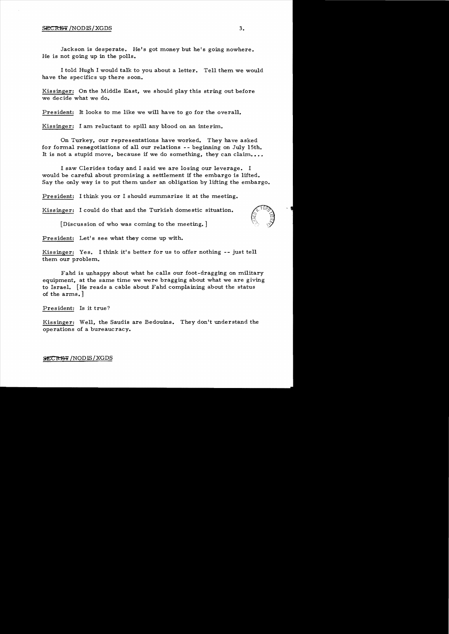## $\mathcal{L} \subset \mathbb{R}$  /NODIS/XGDS 3.

Jackson is desperate. He's got money but he's going nowhere. He is not going up in the polls.

I told Hugh I would talk to you about a letter. Tell them we would have the specifics up there soon.

Kissinger: On the Middle East, we should play this string out before we decide what we do.

President: It looks to me like we will have to go for the overall.

Kissinger: I am reluctant to spill any blood on an interim.

On Turkey, our representations have worked. They have asked for formal renegotiations of all our relations  $-$  beginning on July 15th. It is not a stupid move, because if we do something, they can claim....

I saw Clerides today and I said we are losing our leverage. I would be careful about promising a settlement if the embargo is lifted. Say the only way is to put them under an obligation by lifting the embargo.

President: I think you or I should summarize it at the meeting.

Kissinger: I could do that and the Turkish domestic situation.

[Discussion of who was coming to the meeting.]

President: Let's see what they come up with.

Kissinger: Yes. I think it's better for us to offer nothing -- just tell them our problem.

 $F$ ahd is unhappy about what he calls our foot-dragging on military equipment, at the same time we were bragging about what we are giving to Israel.  $[He$  reads a cable about Fahd complaining about the status of the arms.

President: Is it true?

Kissinger: Well, the Saudis are Bedouins. They don't understand the operations of a bureaucracy.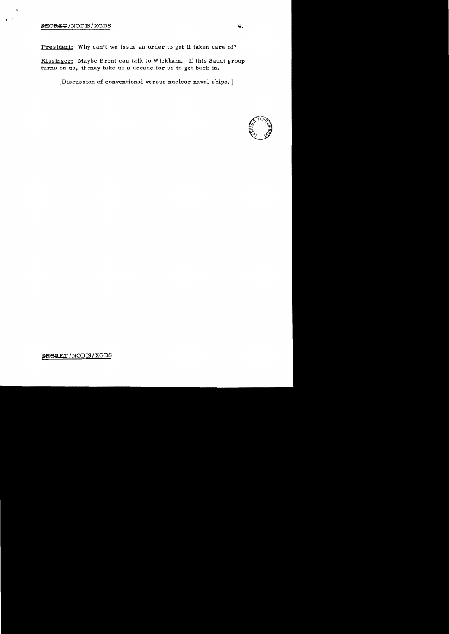## $\frac{1}{2}$   $\frac{1}{2}$   $\frac{1}{2}$   $\frac{1}{2}$   $\frac{1}{2}$   $\frac{1}{2}$   $\frac{1}{2}$   $\frac{1}{2}$   $\frac{1}{2}$   $\frac{1}{2}$   $\frac{1}{2}$   $\frac{1}{2}$   $\frac{1}{2}$   $\frac{1}{2}$   $\frac{1}{2}$   $\frac{1}{2}$   $\frac{1}{2}$   $\frac{1}{2}$   $\frac{1}{2}$   $\frac{1}{2}$   $\frac{1}{2}$   $\frac{1}{2}$

 $\gamma_{\rm{p}}$  ,  $\gamma$ 

President: Why can't we issue an order to get it taken care of?

Kissinger: Maybe Brent can talk to Wickham. If this Saudi group turns on us, it may take us a decade for us to get back in.

[Discussion of conventional versus nuclear naval ships. ]



SESRET / NODIS / XGDS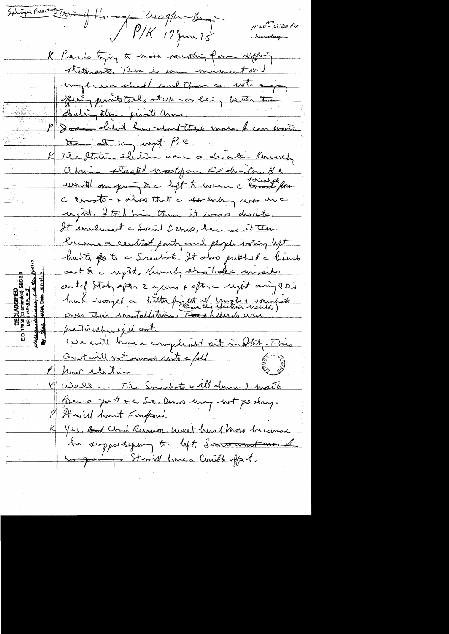Subigir Procesor Crown of Home De Med Bengler Bengler 19 11:50 - 12:30 PM Incoday K Presio trying to emote sounding form differ-Kotenants. Then is some encreasement and unique we should send them as with any Meri parabitales at UM - or leving better than P Dean druit hour dont these more, le commencion The Staten election were a desorte. Komment abrim staated most form Roberton He wonted an get to left to wear a torribute for Clarate-x also that a forlanding awar are uptit. I told him them it was a drowth. Cremen a centeral parts and people water left<br>and people water left<br>and that to go to a Socialist of the public distant<br>and the supple zycons often upit any los. had iroyed a bitter fight of youth + socialists We will have a compliment sit in Italy. This Resistant not surviva mita = /oll Europe K Well. The Soundeste will demand maite Prema quitte de Dems une ent podan. K Yes, Art and Rumor, Wast hurt More became la suppertiquing to left. Souto want wand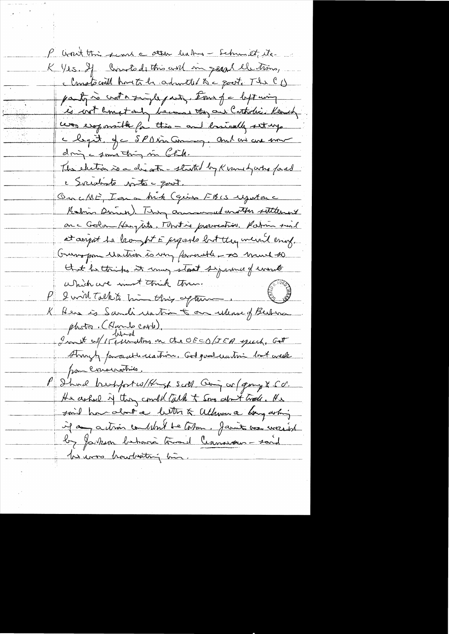P won't this send a other habes - Schumet, its. K Yes. If Constads this and in geral elections, clansts will have to be adameted to a goot. The CD party is crota single party. Ever for left wing is cost lempt and because they are Controlice Kennedy was esoponible for this - and lossically settings chepit, je SPAincemon, and are use mor dring a something in Chile. The electron is a disate - started by K venu hy who faced c Socialiste poste - quot. OncME, Iana Mik (quin FBIS Ugitare Kalin Drink). They cannonul another sittlement on a Goland Hengtate. Montine provinction. Ration suil at anyot to kompt E proports but they weren't enig. Grisspon Martin is my formable - so mund so that he thinks it may start symme of enouts le suid comment tout tout to the set of the set of the set of the set of the set of the set of the set of the set of the set of the set of the set of the set of the set of the set of the set of the set of the set of the se K Here is Sandi untim to on ulume of Berton photor. (Hardo corto).<br>Int of Istuantos on the OEEO/IEA quich. Get Strugh para utilidation. Got post unitive but acuke pon consideration P Should breakfortwo/Kingh scott Going or (group & SO. He ashed if they could tack to some about trade. He said home about a letter & allmon a bong as hing if any action contribut be tohm. Jamit vou merid by Jarkson bahara troad Canavaux-said les unos honidaditami bio.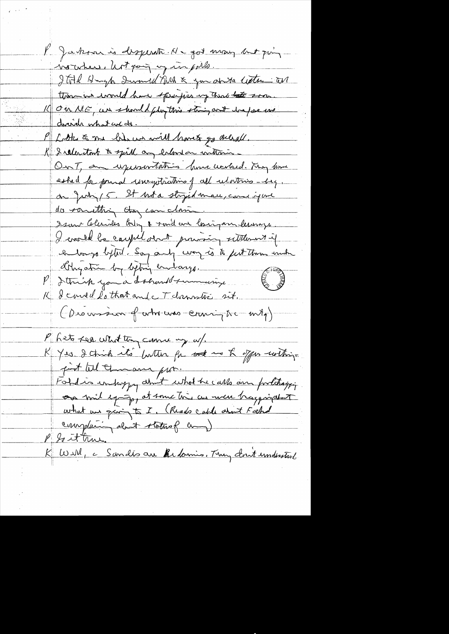V Jakon is disperset . He got many but juin Northers, hot going in with. Ital Hugh Swamp Park & you anta lecter an those would have specifies up that the soon 16 On ME, un should phythis string and happens dreich what we do. Loke & me him we will havets go allegell. K Irelactout to spill any extend on withmin-On T, an upersortation from werked. They know ashed for found unegetications of all relatives - beg. on July 15. It hot a stryid man, can june do something they can close ... Seant Celerises Body & sound are losing any leverings. I crossed be caught dont provising sitternet if a longs lytel. Soy any way is to fut them under Other streeting before endanger P detruit you à document moment K & courled that and c T domination sit. (Discoursoir of who was coursing to mity) Pheto Lea What they curry my w/. K Yes. I chick it's futter for sol is the offer within. put til Imam por. Foldio empropy about what he calls and proletaying ou mil expire et some très au meu tragainduit what we giving to I. (Reads cable about Field complain dont statusf and P So it true. K Will, a Sandés au Bidamis. They don't understant